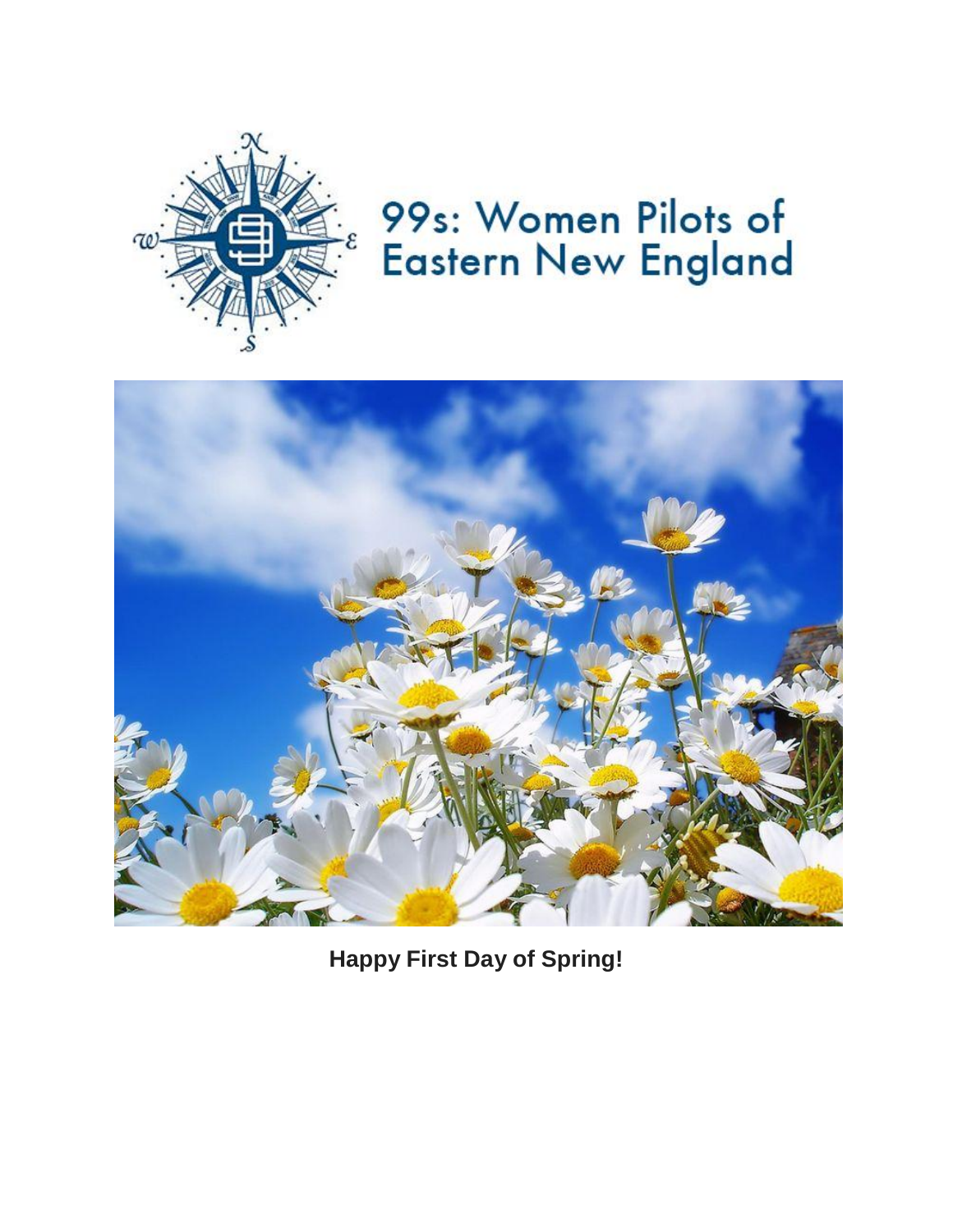

# 99s: Women Pilots of **Eastern New England**



**Happy First Day of Spring!**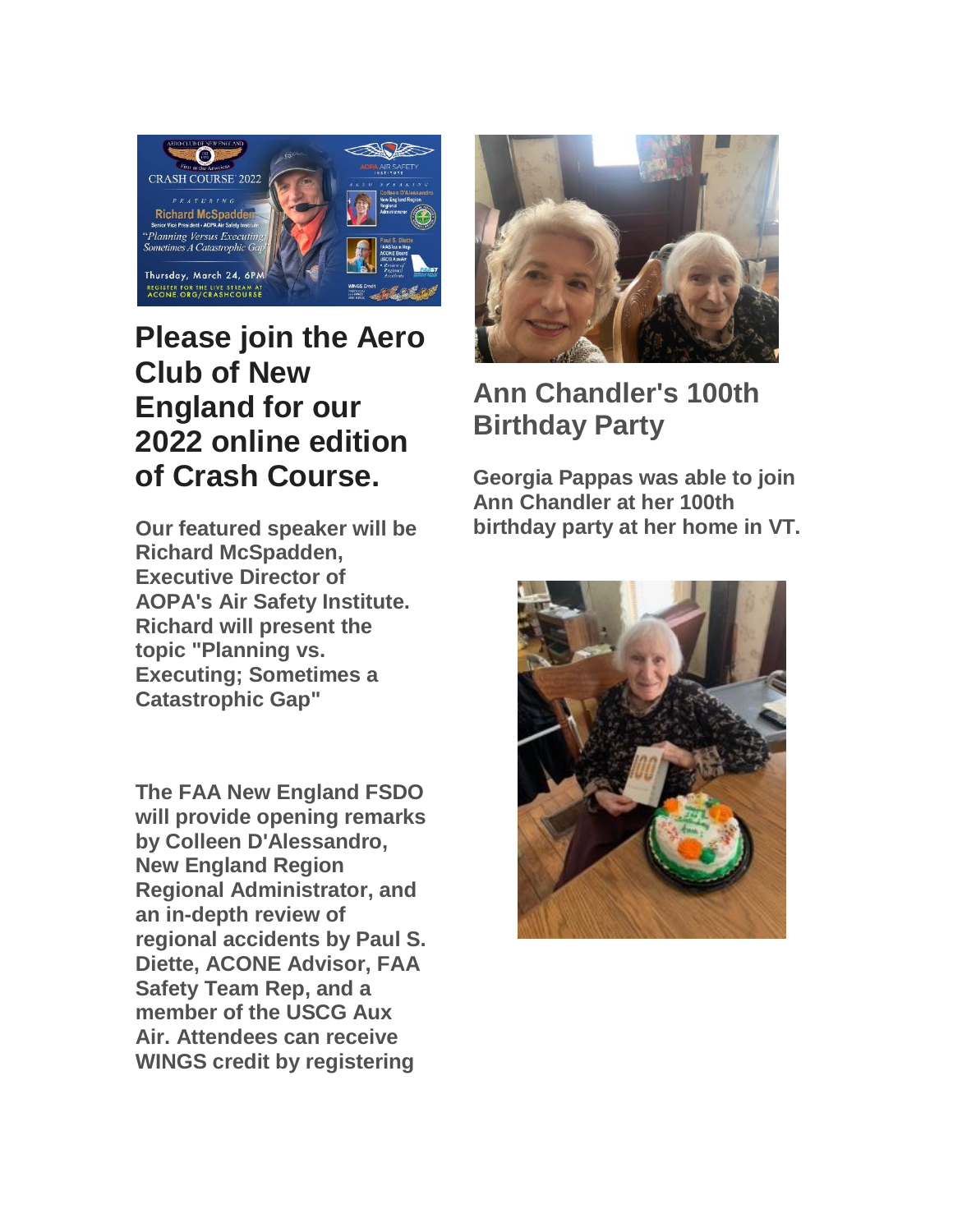

## **Please join the Aero Club of New England for our 2022 online edition of Crash Course.**

**Our featured speaker will be Richard McSpadden, Executive Director of AOPA's Air Safety Institute. Richard will present the topic "Planning vs. Executing; Sometimes a Catastrophic Gap"**

**The FAA New England FSDO will provide opening remarks by Colleen D'Alessandro, New England Region Regional Administrator, and an in-depth review of regional accidents by Paul S. Diette, ACONE Advisor, FAA Safety Team Rep, and a member of the USCG Aux Air. Attendees can receive WINGS credit by registering** 



## **Ann Chandler's 100th Birthday Party**

**Georgia Pappas was able to join Ann Chandler at her 100th birthday party at her home in VT.**

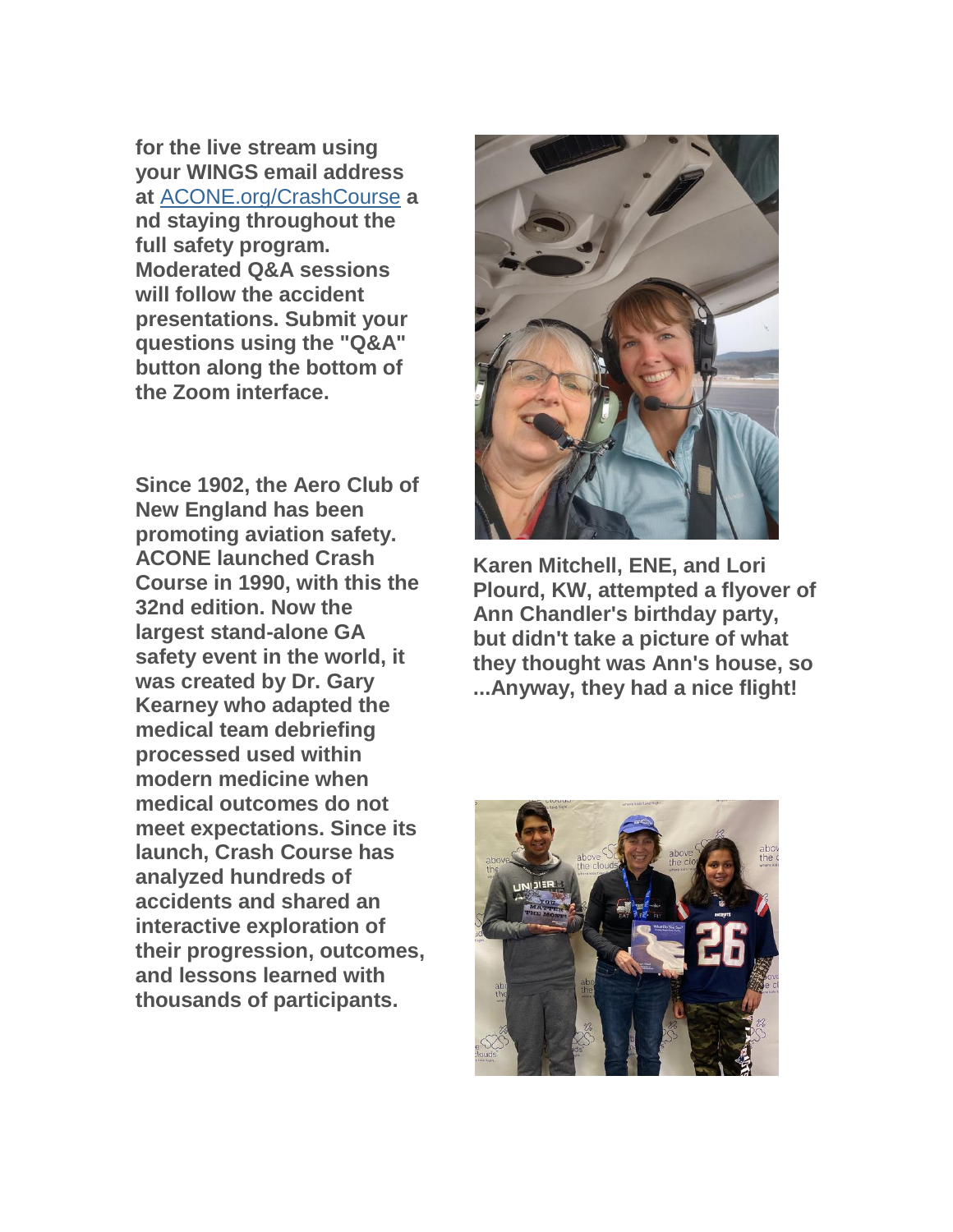**for the live stream using your WINGS email address at** [ACONE.org/CrashCourse](https://womenpilotsene.us6.list-manage.com/track/click?u=8f1693d56698349f3356ded0c&id=1aa2f98cb5&e=75347ca4ae) **a nd staying throughout the full safety program. Moderated Q&A sessions will follow the accident presentations. Submit your questions using the "Q&A" button along the bottom of the Zoom interface.**

**Since 1902, the Aero Club of New England has been promoting aviation safety. ACONE launched Crash Course in 1990, with this the 32nd edition. Now the largest stand-alone GA safety event in the world, it was created by Dr. Gary Kearney who adapted the medical team debriefing processed used within modern medicine when medical outcomes do not meet expectations. Since its launch, Crash Course has analyzed hundreds of accidents and shared an interactive exploration of their progression, outcomes, and lessons learned with thousands of participants.**



**Karen Mitchell, ENE, and Lori Plourd, KW, attempted a flyover of Ann Chandler's birthday party, but didn't take a picture of what they thought was Ann's house, so ...Anyway, they had a nice flight!**

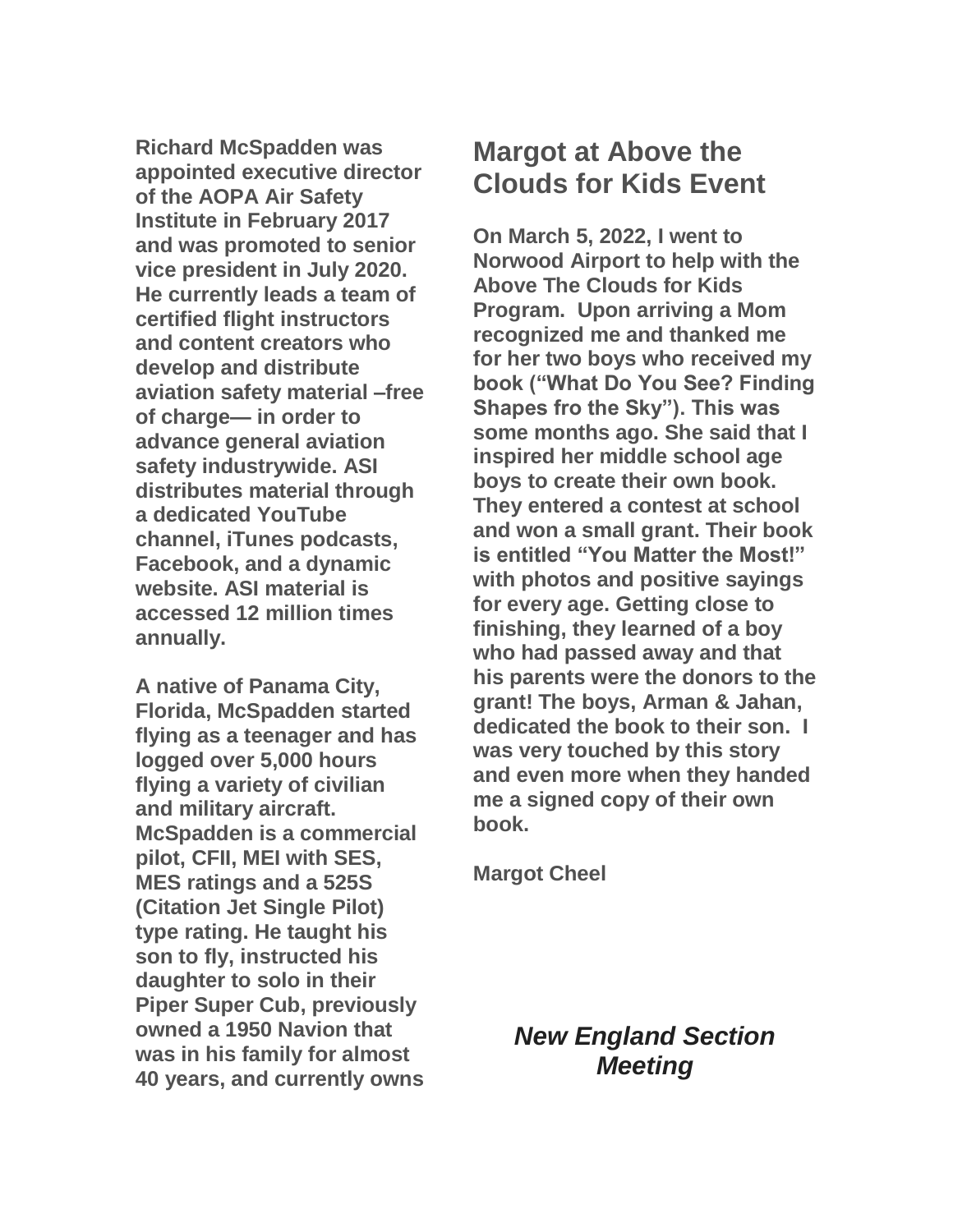**Richard McSpadden was appointed executive director of the AOPA Air Safety Institute in February 2017 and was promoted to senior vice president in July 2020. He currently leads a team of certified flight instructors and content creators who develop and distribute aviation safety material –free of charge— in order to advance general aviation safety industrywide. ASI distributes material through a dedicated YouTube channel, iTunes podcasts, Facebook, and a dynamic website. ASI material is accessed 12 million times annually.**

**A native of Panama City, Florida, McSpadden started flying as a teenager and has logged over 5,000 hours flying a variety of civilian and military aircraft. McSpadden is a commercial pilot, CFII, MEI with SES, MES ratings and a 525S (Citation Jet Single Pilot) type rating. He taught his son to fly, instructed his daughter to solo in their Piper Super Cub, previously owned a 1950 Navion that was in his family for almost 40 years, and currently owns** 

#### **Margot at Above the Clouds for Kids Event**

**On March 5, 2022, I went to Norwood Airport to help with the Above The Clouds for Kids Program. Upon arriving a Mom recognized me and thanked me for her two boys who received my book ("What Do You See? Finding Shapes fro the Sky"). This was some months ago. She said that I inspired her middle school age boys to create their own book. They entered a contest at school and won a small grant. Their book is entitled "You Matter the Most!" with photos and positive sayings for every age. Getting close to finishing, they learned of a boy who had passed away and that his parents were the donors to the grant! The boys, Arman & Jahan, dedicated the book to their son. I was very touched by this story and even more when they handed me a signed copy of their own book.**

**Margot Cheel**

#### *New England Section Meeting*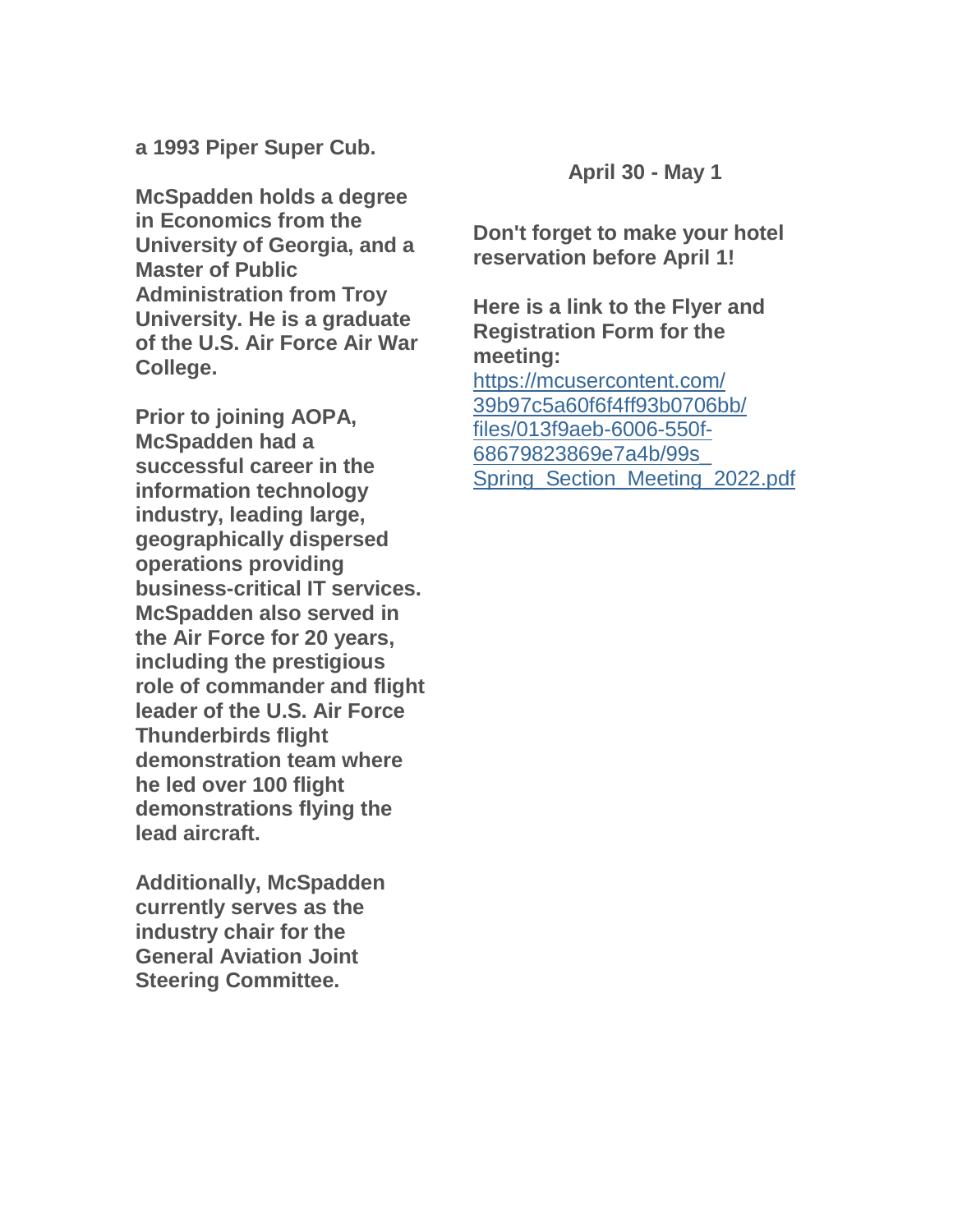**a 1993 Piper Super Cub.**

**McSpadden holds a degree in Economics from the University of Georgia, and a Master of Public Administration from Troy University. He is a graduate of the U.S. Air Force Air War College.**

**Prior to joining AOPA, McSpadden had a successful career in the information technology industry, leading large, geographically dispersed operations providing business-critical IT services. McSpadden also served in the Air Force for 20 years, including the prestigious role of commander and flight leader of the U.S. Air Force Thunderbirds flight demonstration team where he led over 100 flight demonstrations flying the lead aircraft.**

**Additionally, McSpadden currently serves as the industry chair for the General Aviation Joint Steering Committee.**

**April 30 - May 1**

**Don't forget to make your hotel reservation before April 1!**

**Here is a link to the Flyer and Registration Form for the meeting:**

[https://mcusercontent.com/](https://womenpilotsene.us6.list-manage.com/track/click?u=8f1693d56698349f3356ded0c&id=88f490866a&e=75347ca4ae) [39b97c5a60f6f4ff93b0706bb/](https://womenpilotsene.us6.list-manage.com/track/click?u=8f1693d56698349f3356ded0c&id=88f490866a&e=75347ca4ae) [files/013f9aeb-6006-550f-](https://womenpilotsene.us6.list-manage.com/track/click?u=8f1693d56698349f3356ded0c&id=88f490866a&e=75347ca4ae)[68679823869e7a4b/99s\\_](https://womenpilotsene.us6.list-manage.com/track/click?u=8f1693d56698349f3356ded0c&id=88f490866a&e=75347ca4ae) [Spring\\_Section\\_Meeting\\_2022.pdf](https://womenpilotsene.us6.list-manage.com/track/click?u=8f1693d56698349f3356ded0c&id=88f490866a&e=75347ca4ae)